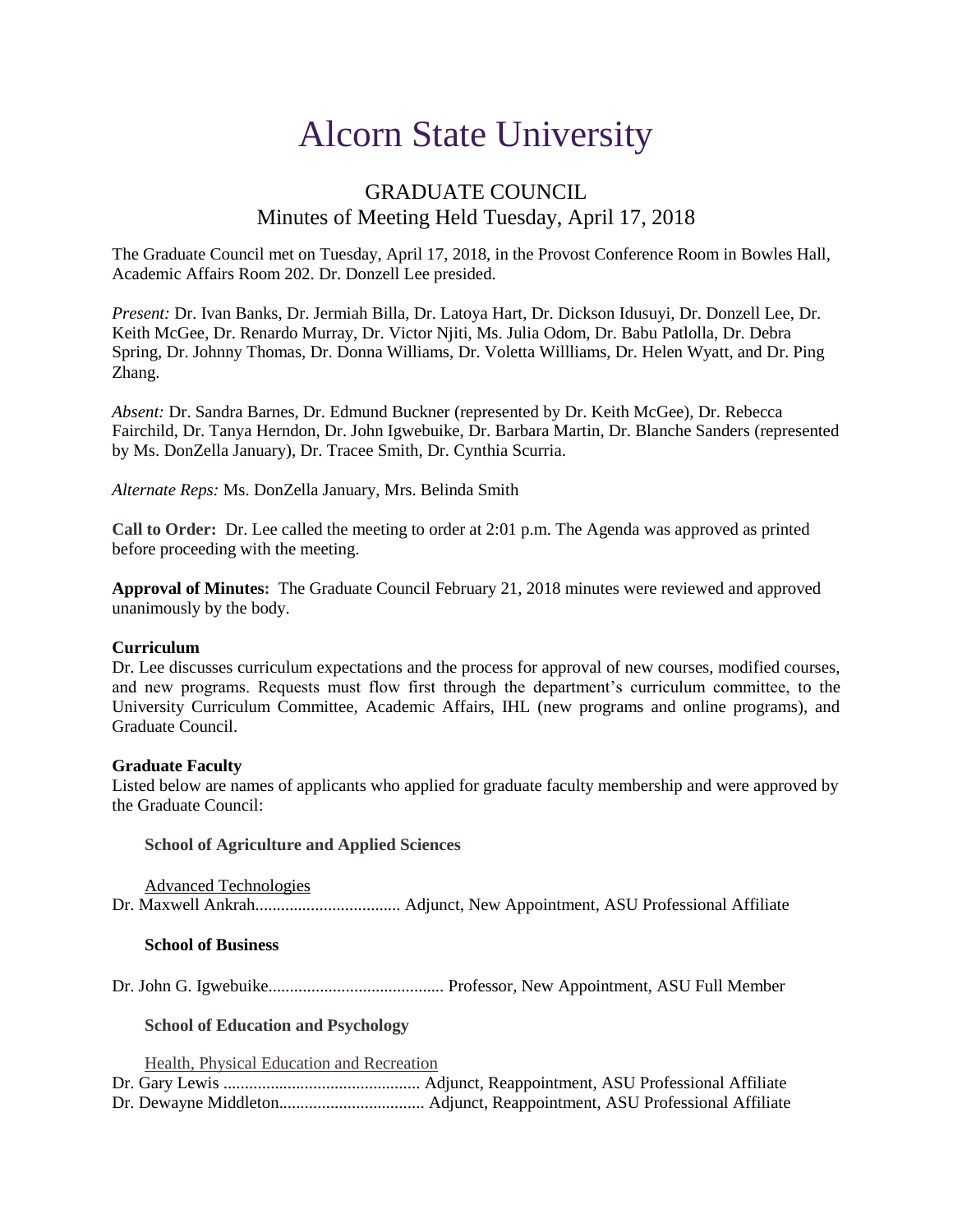# Alcorn State University

# GRADUATE COUNCIL Minutes of Meeting Held Tuesday, April 17, 2018

The Graduate Council met on Tuesday, April 17, 2018, in the Provost Conference Room in Bowles Hall, Academic Affairs Room 202. Dr. Donzell Lee presided.

*Present:* Dr. Ivan Banks, Dr. Jermiah Billa, Dr. Latoya Hart, Dr. Dickson Idusuyi, Dr. Donzell Lee, Dr. Keith McGee, Dr. Renardo Murray, Dr. Victor Njiti, Ms. Julia Odom, Dr. Babu Patlolla, Dr. Debra Spring, Dr. Johnny Thomas, Dr. Donna Williams, Dr. Voletta Willliams, Dr. Helen Wyatt, and Dr. Ping Zhang.

*Absent:* Dr. Sandra Barnes, Dr. Edmund Buckner (represented by Dr. Keith McGee), Dr. Rebecca Fairchild, Dr. Tanya Herndon, Dr. John Igwebuike, Dr. Barbara Martin, Dr. Blanche Sanders (represented by Ms. DonZella January), Dr. Tracee Smith, Dr. Cynthia Scurria.

*Alternate Reps:* Ms. DonZella January, Mrs. Belinda Smith

**Call to Order:** Dr. Lee called the meeting to order at 2:01 p.m. The Agenda was approved as printed before proceeding with the meeting.

**Approval of Minutes:** The Graduate Council February 21, 2018 minutes were reviewed and approved unanimously by the body.

#### **Curriculum**

Dr. Lee discusses curriculum expectations and the process for approval of new courses, modified courses, and new programs. Requests must flow first through the department's curriculum committee, to the University Curriculum Committee, Academic Affairs, IHL (new programs and online programs), and Graduate Council.

#### **Graduate Faculty**

Listed below are names of applicants who applied for graduate faculty membership and were approved by the Graduate Council:

**School of Agriculture and Applied Sciences**

Advanced Technologies Dr. Maxwell Ankrah.................................. Adjunct, New Appointment, ASU Professional Affiliate

#### **School of Business**

Dr. John G. Igwebuike......................................... Professor, New Appointment, ASU Full Member

#### **School of Education and Psychology**

Health, Physical Education and Recreation